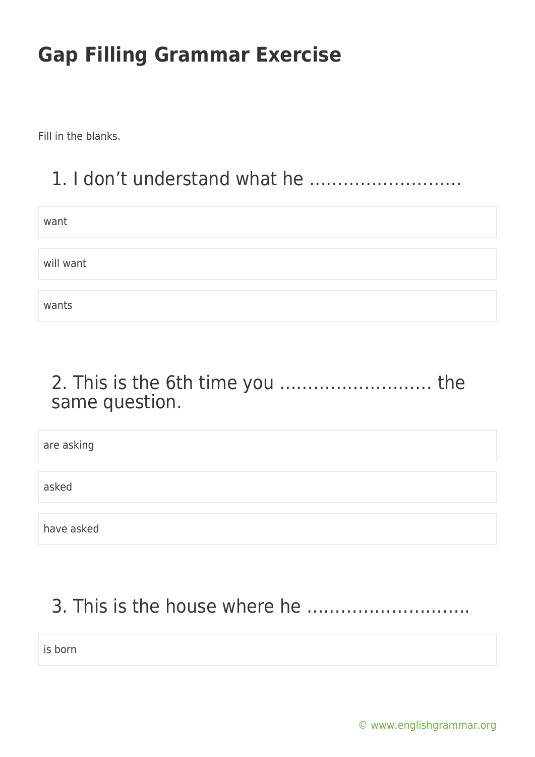Fill in the blanks.

### 1. I don't understand what he ………………………

| want      |  |
|-----------|--|
|           |  |
| will want |  |
|           |  |
| wants     |  |

#### 2. This is the 6th time you ……………………… the same question.

| are asking |  |
|------------|--|
|            |  |
| asked      |  |
|            |  |
| have asked |  |

### 3. This is the house where he ………………………..

is born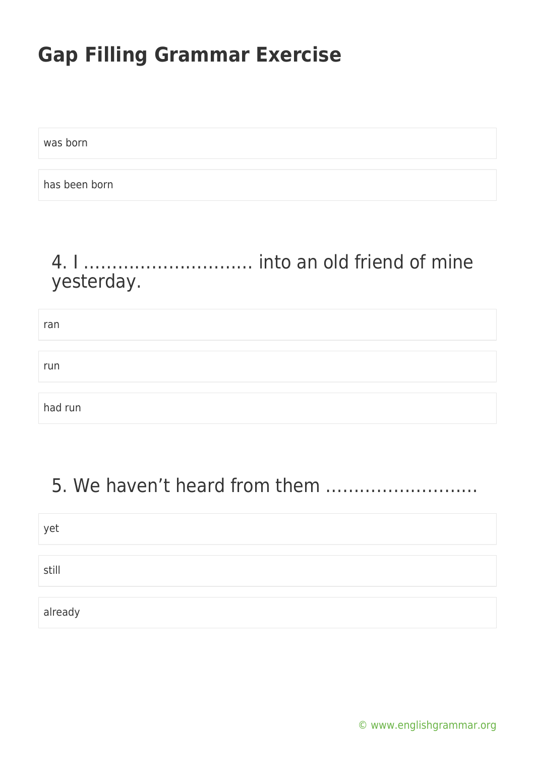was born

has been born

#### 4. I ………………………… into an old friend of mine yesterday.

| ran     |  |
|---------|--|
|         |  |
| run     |  |
|         |  |
| had run |  |

### 5. We haven't heard from them ………………………

| yet     |  |
|---------|--|
|         |  |
| still   |  |
|         |  |
| already |  |

[© www.englishgrammar.org](https://www.englishgrammar.org/)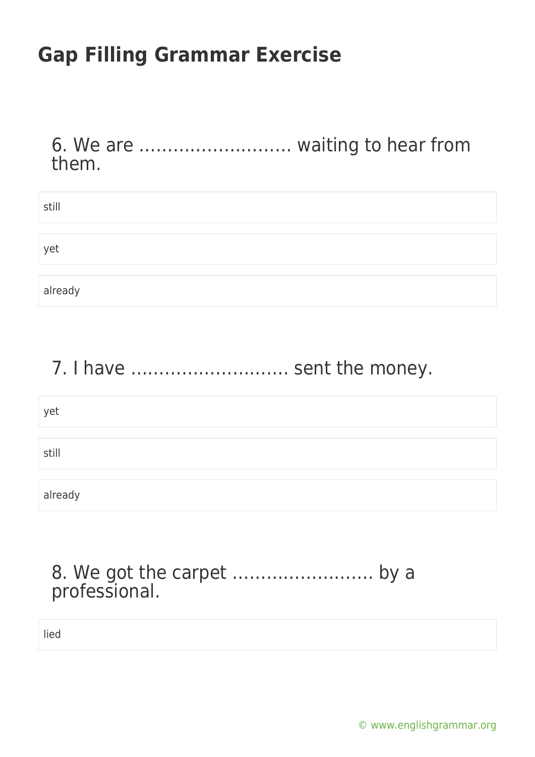6. We are ……………………… waiting to hear from them.

| still   |  |
|---------|--|
|         |  |
|         |  |
| yet     |  |
|         |  |
|         |  |
| already |  |

#### 7. I have ............................. sent the money.

| yet     |  |  |
|---------|--|--|
| still   |  |  |
| already |  |  |

#### 8. We got the carpet ……………………. by a professional.

lied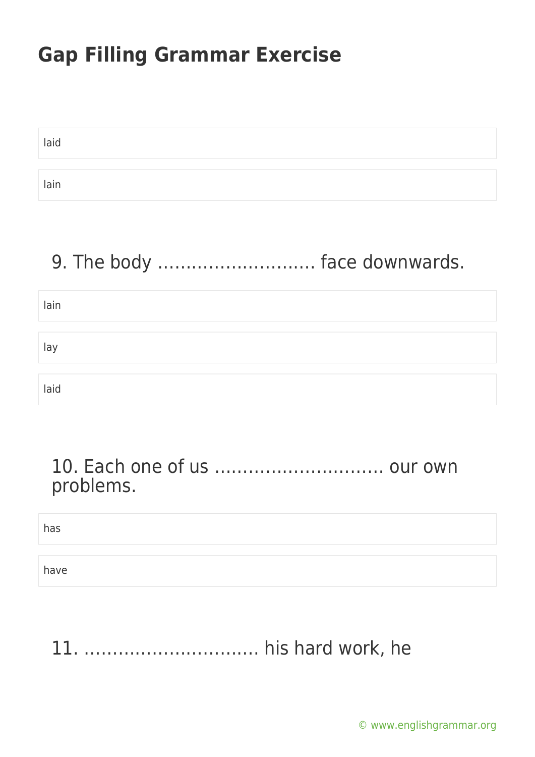| laid |  |  |
|------|--|--|
|      |  |  |
| lain |  |  |

### 9. The body ………………………. face downwards.

| lain |  |  |
|------|--|--|
|      |  |  |
| lay  |  |  |
|      |  |  |
| laid |  |  |

#### 10. Each one of us ………………………… our own problems.

has

have

# 11. …………………………. his hard work, he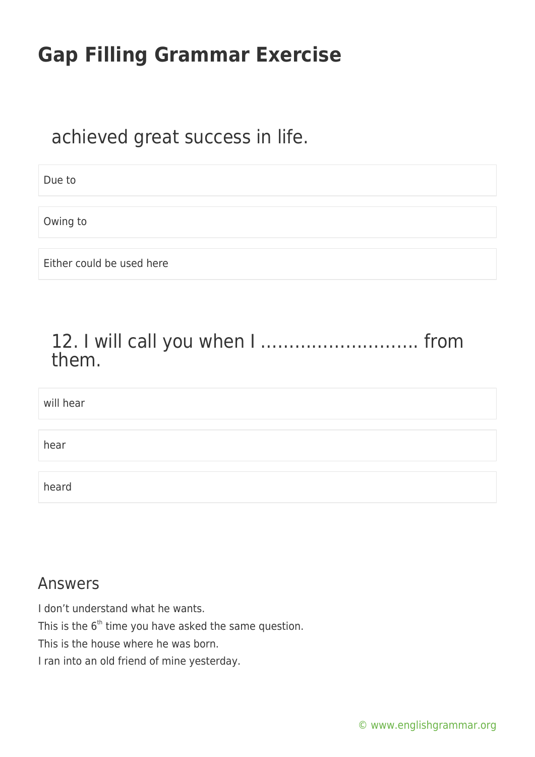#### achieved great success in life.

Due to

Owing to

Either could be used here

#### 12. I will call you when I ………………………. from them.

| will hear |  |
|-----------|--|
|           |  |
| hear      |  |
|           |  |
| heard     |  |

#### Answers

I don't understand what he wants. This is the  $6<sup>th</sup>$  time you have asked the same question. This is the house where he was born. I ran into an old friend of mine yesterday.